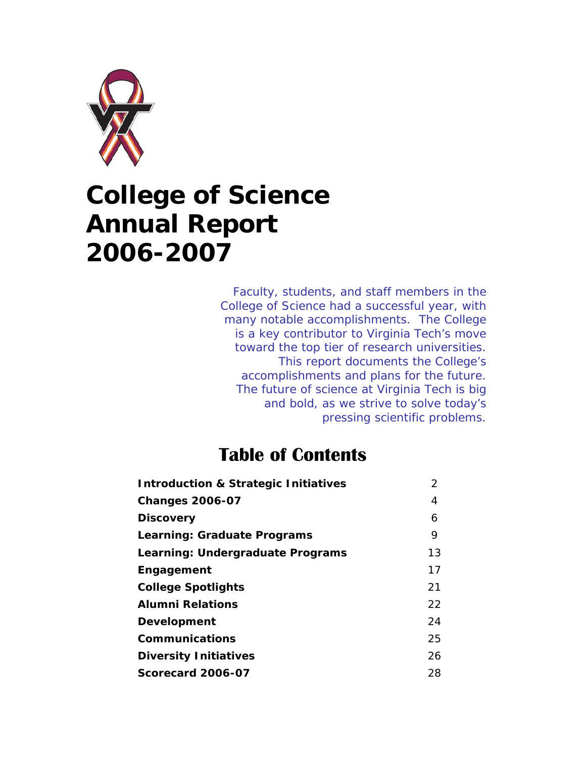

# **College of Science Annual Report 2006-2007**

*Faculty, students, and staff members in the College of Science had a successful year, with many notable accomplishments. The College is a key contributor to Virginia Tech's move toward the top tier of research universities. This report documents the College's accomplishments and plans for the future. The future of science at Virginia Tech is big and bold, as we strive to solve today's pressing scientific problems.* 

# **Table of Contents**

| <b>Introduction &amp; Strategic Initiatives</b> | 2  |
|-------------------------------------------------|----|
| <b>Changes 2006-07</b>                          | 4  |
| <b>Discovery</b>                                | 6  |
| <b>Learning: Graduate Programs</b>              | 9  |
| Learning: Undergraduate Programs                | 13 |
| Engagement                                      | 17 |
| <b>College Spotlights</b>                       | 21 |
| <i><b>Alumni Relations</b></i>                  | 22 |
| Development                                     | 24 |
| <b>Communications</b>                           | 25 |
| <b>Diversity Initiatives</b>                    | 26 |
| Scorecard 2006-07                               | 28 |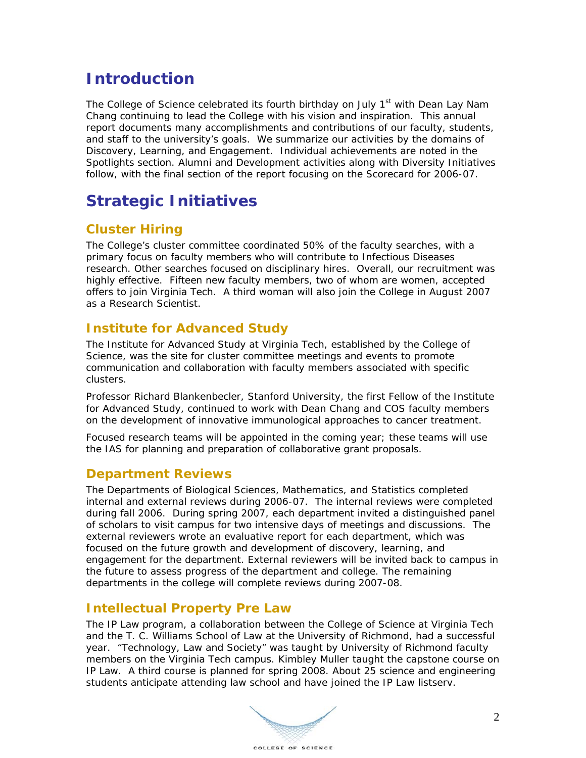### **Introduction**

The College of Science celebrated its fourth birthday on July 1<sup>st</sup> with Dean Lay Nam Chang continuing to lead the College with his vision and inspiration. This annual report documents many accomplishments and contributions of our faculty, students, and staff to the university's goals. We summarize our activities by the domains of Discovery, Learning, and Engagement. Individual achievements are noted in the Spotlights section. Alumni and Development activities along with Diversity Initiatives follow, with the final section of the report focusing on the Scorecard for 2006-07.

# **Strategic Initiatives**

### **Cluster Hiring**

The College's cluster committee coordinated 50% of the faculty searches, with a primary focus on faculty members who will contribute to Infectious Diseases research. Other searches focused on disciplinary hires. Overall, our recruitment was highly effective. Fifteen new faculty members, two of whom are women, accepted offers to join Virginia Tech. A third woman will also join the College in August 2007 as a Research Scientist.

#### **Institute for Advanced Study**

The Institute for Advanced Study at Virginia Tech, established by the College of Science, was the site for cluster committee meetings and events to promote communication and collaboration with faculty members associated with specific clusters.

Professor Richard Blankenbecler, Stanford University, the first Fellow of the Institute for Advanced Study, continued to work with Dean Chang and COS faculty members on the development of innovative immunological approaches to cancer treatment.

Focused research teams will be appointed in the coming year; these teams will use the IAS for planning and preparation of collaborative grant proposals.

#### **Department Reviews**

The Departments of Biological Sciences, Mathematics, and Statistics completed internal and external reviews during 2006-07. The internal reviews were completed during fall 2006. During spring 2007, each department invited a distinguished panel of scholars to visit campus for two intensive days of meetings and discussions. The external reviewers wrote an evaluative report for each department, which was focused on the future growth and development of discovery, learning, and engagement for the department. External reviewers will be invited back to campus in the future to assess progress of the department and college. The remaining departments in the college will complete reviews during 2007-08.

#### **Intellectual Property Pre Law**

The IP Law program, a collaboration between the College of Science at Virginia Tech and the T. C. Williams School of Law at the University of Richmond, had a successful year. "Technology, Law and Society" was taught by University of Richmond faculty members on the Virginia Tech campus. Kimbley Muller taught the capstone course on IP Law. A third course is planned for spring 2008. About 25 science and engineering students anticipate attending law school and have joined the IP Law listserv.

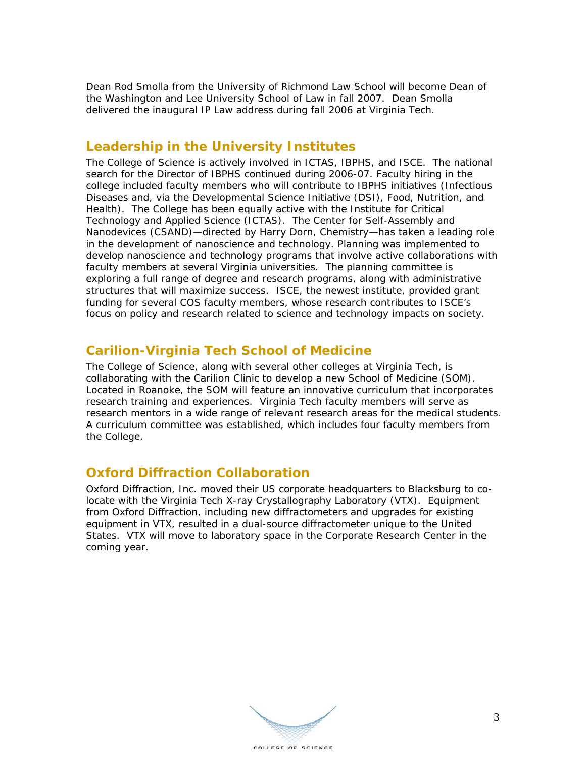Dean Rod Smolla from the University of Richmond Law School will become Dean of the Washington and Lee University School of Law in fall 2007. Dean Smolla delivered the inaugural IP Law address during fall 2006 at Virginia Tech.

#### **Leadership in the University Institutes**

The College of Science is actively involved in ICTAS, IBPHS, and ISCE. The national search for the Director of IBPHS continued during 2006-07. Faculty hiring in the college included faculty members who will contribute to IBPHS initiatives (Infectious Diseases and, via the Developmental Science Initiative (DSI), Food, Nutrition, and Health). The College has been equally active with the Institute for Critical Technology and Applied Science (ICTAS). The Center for Self-Assembly and Nanodevices (CSAND)—directed by Harry Dorn, Chemistry—has taken a leading role in the development of nanoscience and technology. Planning was implemented to develop nanoscience and technology programs that involve active collaborations with faculty members at several Virginia universities. The planning committee is exploring a full range of degree and research programs, along with administrative structures that will maximize success. ISCE, the newest institute, provided grant funding for several COS faculty members, whose research contributes to ISCE's focus on policy and research related to science and technology impacts on society.

#### **Carilion-Virginia Tech School of Medicine**

The College of Science, along with several other colleges at Virginia Tech, is collaborating with the Carilion Clinic to develop a new School of Medicine (SOM). Located in Roanoke, the SOM will feature an innovative curriculum that incorporates research training and experiences. Virginia Tech faculty members will serve as research mentors in a wide range of relevant research areas for the medical students. A curriculum committee was established, which includes four faculty members from the College.

#### **Oxford Diffraction Collaboration**

Oxford Diffraction, Inc. moved their US corporate headquarters to Blacksburg to colocate with the Virginia Tech X-ray Crystallography Laboratory (VTX). Equipment from Oxford Diffraction, including new diffractometers and upgrades for existing equipment in VTX, resulted in a dual-source diffractometer unique to the United States. VTX will move to laboratory space in the Corporate Research Center in the coming year.

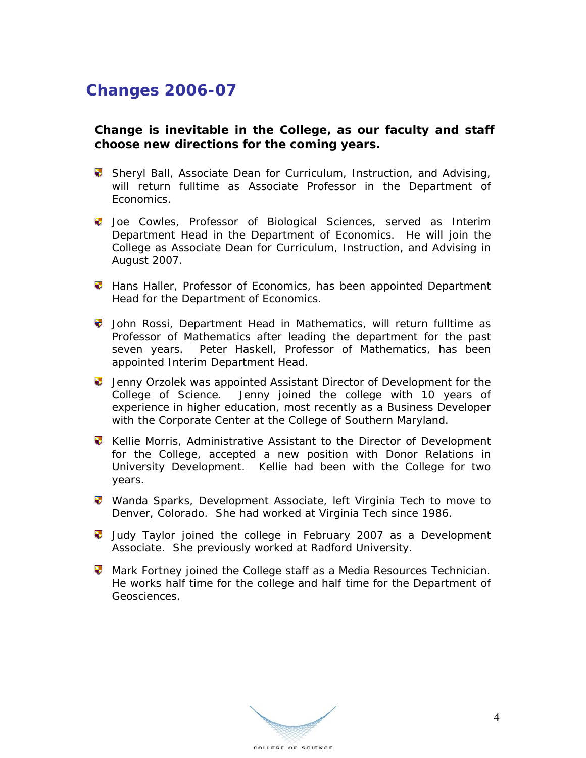### **Changes 2006-07**

#### **Change is inevitable in the College, as our faculty and staff choose new directions for the coming years.**

- **Sheryl Ball, Associate Dean for Curriculum, Instruction, and Advising,** will return fulltime as Associate Professor in the Department of Economics.
- **U** Joe Cowles, Professor of Biological Sciences, served as Interim Department Head in the Department of Economics. He will join the College as Associate Dean for Curriculum, Instruction, and Advising in August 2007.
- **Hans Haller, Professor of Economics, has been appointed Department** Head for the Department of Economics.
- John Rossi, Department Head in Mathematics, will return fulltime as Professor of Mathematics after leading the department for the past seven years. Peter Haskell, Professor of Mathematics, has been appointed Interim Department Head.
- **U** Jenny Orzolek was appointed Assistant Director of Development for the College of Science. Jenny joined the college with 10 years of experience in higher education, most recently as a Business Developer with the Corporate Center at the College of Southern Maryland.
- **V** Kellie Morris, Administrative Assistant to the Director of Development for the College, accepted a new position with Donor Relations in University Development. Kellie had been with the College for two years.
- **Wanda Sparks, Development Associate, left Virginia Tech to move to** Denver, Colorado. She had worked at Virginia Tech since 1986.
- **Judy Taylor joined the college in February 2007 as a Development** Associate. She previously worked at Radford University.
- **Mark Fortney joined the College staff as a Media Resources Technician.** He works half time for the college and half time for the Department of Geosciences.

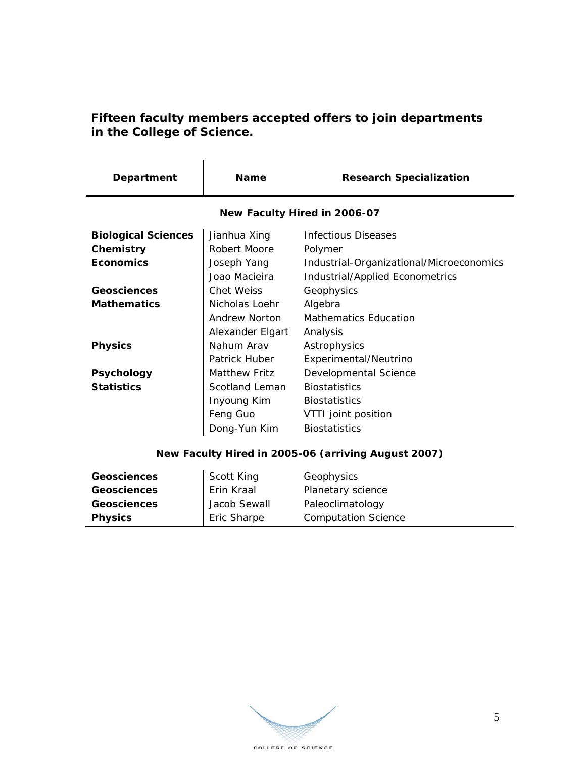#### **Fifteen faculty members accepted offers to join departments in the College of Science.**

| Department                                          | <b>Name</b>          | <b>Research Specialization</b>           |
|-----------------------------------------------------|----------------------|------------------------------------------|
| New Faculty Hired in 2006-07                        |                      |                                          |
| <b>Biological Sciences</b>                          | Jianhua Xing         | <b>Infectious Diseases</b>               |
| Chemistry                                           | Robert Moore         | Polymer                                  |
| <b>Economics</b>                                    | Joseph Yang          | Industrial-Organizational/Microeconomics |
|                                                     | Joao Macieira        | Industrial/Applied Econometrics          |
| Geosciences                                         | Chet Weiss           | Geophysics                               |
| <b>Mathematics</b>                                  | Nicholas Loehr       | Algebra                                  |
|                                                     | Andrew Norton        | <b>Mathematics Education</b>             |
|                                                     | Alexander Elgart     | Analysis                                 |
| <b>Physics</b>                                      | Nahum Aray           | Astrophysics                             |
|                                                     | Patrick Huber        | Experimental/Neutrino                    |
| <b>Psychology</b>                                   | <b>Matthew Fritz</b> | Developmental Science                    |
| <b>Statistics</b>                                   | Scotland Leman       | <b>Biostatistics</b>                     |
|                                                     | Inyoung Kim          | <b>Biostatistics</b>                     |
|                                                     | Feng Guo             | VTTI joint position                      |
|                                                     | Dong-Yun Kim         | <b>Biostatistics</b>                     |
| New Faculty Hired in 2005-06 (arriving August 2007) |                      |                                          |

| <b>Geosciences</b> | Scott King   | Geophysics                 |
|--------------------|--------------|----------------------------|
| <b>Geosciences</b> | Erin Kraal   | Planetary science          |
| <b>Geosciences</b> | Jacob Sewall | Paleoclimatology           |
| <b>Physics</b>     | Eric Sharpe  | <b>Computation Science</b> |

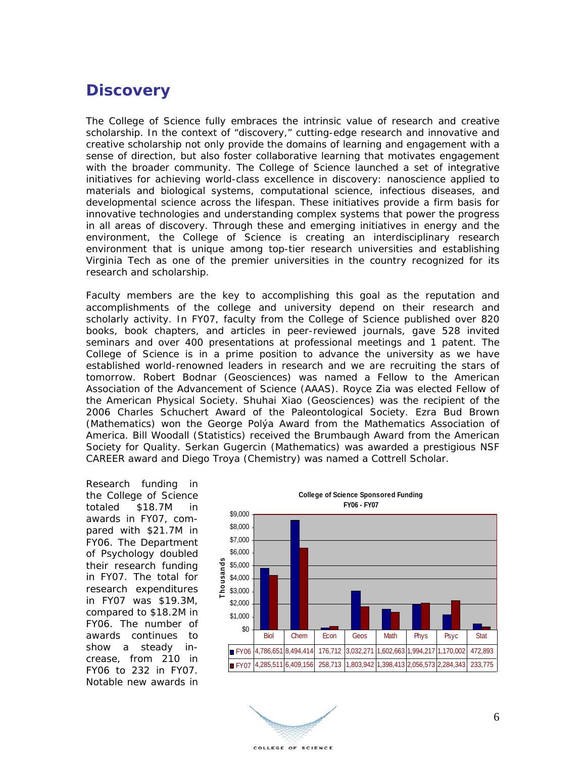### **Discovery**

The College of Science fully embraces the intrinsic value of research and creative scholarship. In the context of "discovery," cutting-edge research and innovative and creative scholarship not only provide the domains of learning and engagement with a sense of direction, but also foster collaborative learning that motivates engagement with the broader community. The College of Science launched a set of integrative initiatives for achieving world-class excellence in discovery: nanoscience applied to materials and biological systems, computational science, infectious diseases, and developmental science across the lifespan. These initiatives provide a firm basis for innovative technologies and understanding complex systems that power the progress in all areas of discovery. Through these and emerging initiatives in energy and the environment, the College of Science is creating an interdisciplinary research environment that is unique among top-tier research universities and establishing Virginia Tech as one of the premier universities in the country recognized for its research and scholarship.

Faculty members are the key to accomplishing this goal as the reputation and accomplishments of the college and university depend on their research and scholarly activity. In FY07, faculty from the College of Science published over 820 books, book chapters, and articles in peer-reviewed journals, gave 528 invited seminars and over 400 presentations at professional meetings and 1 patent. The College of Science is in a prime position to advance the university as we have established world-renowned leaders in research and we are recruiting the stars of tomorrow. Robert Bodnar (Geosciences) was named a Fellow to the American Association of the Advancement of Science (AAAS). Royce Zia was elected Fellow of the American Physical Society. Shuhai Xiao (Geosciences) was the recipient of the 2006 Charles Schuchert Award of the Paleontological Society. Ezra Bud Brown (Mathematics) won the George Polýa Award from the Mathematics Association of America. Bill Woodall (Statistics) received the Brumbaugh Award from the American Society for Quality. Serkan Gugercin (Mathematics) was awarded a prestigious NSF CAREER award and Diego Troya (Chemistry) was named a Cottrell Scholar.

Research funding in the College of Science totaled \$18.7M in awards in FY07, compared with \$21.7M in FY06. The Department of Psychology doubled their research funding in FY07. The total for research expenditures in FY07 was \$19.3M, compared to \$18.2M in FY06. The number of awards continues to show a steady increase, from 210 in FY06 to 232 in FY07. Notable new awards in



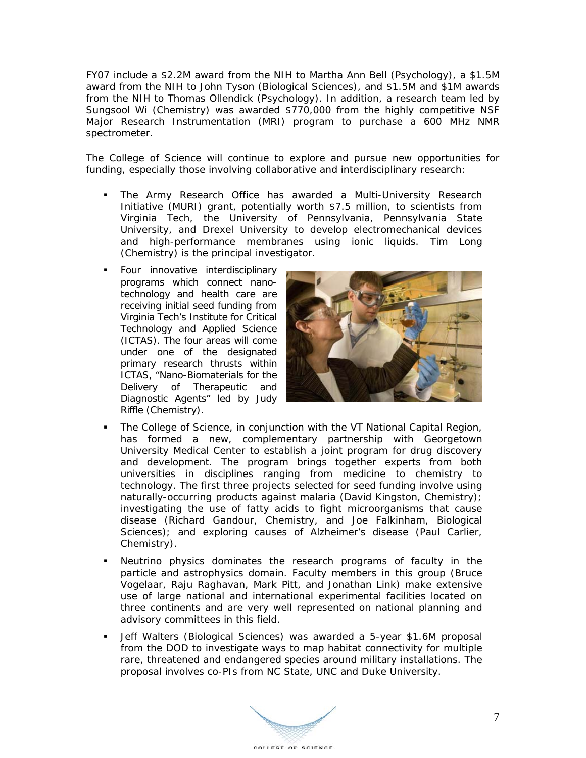FY07 include a \$2.2M award from the NIH to Martha Ann Bell (Psychology), a \$1.5M award from the NIH to John Tyson (Biological Sciences), and \$1.5M and \$1M awards from the NIH to Thomas Ollendick (Psychology). In addition, a research team led by Sungsool Wi (Chemistry) was awarded \$770,000 from the highly competitive NSF Major Research Instrumentation (MRI) program to purchase a 600 MHz NMR spectrometer.

The College of Science will continue to explore and pursue new opportunities for funding, especially those involving collaborative and interdisciplinary research:

- The Army Research Office has awarded a Multi-University Research Initiative (MURI) grant, potentially worth \$7.5 million, to scientists from Virginia Tech, the University of Pennsylvania, Pennsylvania State University, and Drexel University to develop electromechanical devices and high-performance membranes using ionic liquids. Tim Long (Chemistry) is the principal investigator.
- Four innovative interdisciplinary programs which connect nanotechnology and health care are receiving initial seed funding from Virginia Tech's Institute for Critical Technology and Applied Science (ICTAS). The four areas will come under one of the designated primary research thrusts within ICTAS, "Nano-Biomaterials for the Delivery of Therapeutic and Diagnostic Agents" led by Judy Riffle (Chemistry).



- The College of Science, in conjunction with the VT National Capital Region, has formed a new, complementary partnership with Georgetown University Medical Center to establish a joint program for drug discovery and development. The program brings together experts from both universities in disciplines ranging from medicine to chemistry to technology. The first three projects selected for seed funding involve using naturally-occurring products against malaria (David Kingston, Chemistry); investigating the use of fatty acids to fight microorganisms that cause disease (Richard Gandour, Chemistry, and Joe Falkinham, Biological Sciences); and exploring causes of Alzheimer's disease (Paul Carlier, Chemistry).
- Neutrino physics dominates the research programs of faculty in the particle and astrophysics domain. Faculty members in this group (Bruce Vogelaar, Raju Raghavan, Mark Pitt, and Jonathan Link) make extensive use of large national and international experimental facilities located on three continents and are very well represented on national planning and advisory committees in this field.
- Jeff Walters (Biological Sciences) was awarded a 5-year \$1.6M proposal from the DOD to investigate ways to map habitat connectivity for multiple rare, threatened and endangered species around military installations. The proposal involves co-PIs from NC State, UNC and Duke University.

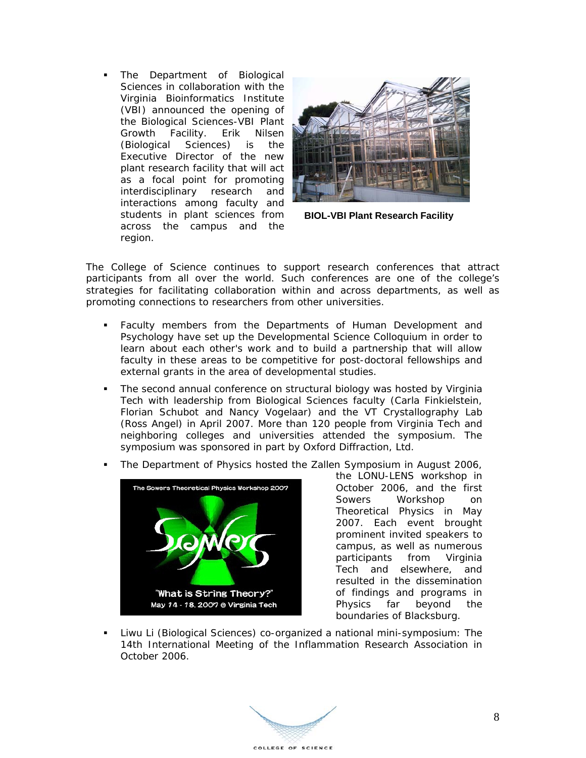The Department of Biological Sciences in collaboration with the Virginia Bioinformatics Institute (VBI) announced the opening of the Biological Sciences-VBI Plant Growth Facility. Erik Nilsen (Biological Sciences) is the Executive Director of the new plant research facility that will act as a focal point for promoting interdisciplinary research and interactions among faculty and students in plant sciences from across the campus and the region.



**BIOL-VBI Plant Research Facility**

The College of Science continues to support research conferences that attract participants from all over the world. Such conferences are one of the college's strategies for facilitating collaboration within and across departments, as well as promoting connections to researchers from other universities.

- Faculty members from the Departments of Human Development and Psychology have set up the Developmental Science Colloquium in order to learn about each other's work and to build a partnership that will allow faculty in these areas to be competitive for post-doctoral fellowships and external grants in the area of developmental studies.
- The second annual conference on structural biology was hosted by Virginia Tech with leadership from Biological Sciences faculty (Carla Finkielstein, Florian Schubot and Nancy Vogelaar) and the VT Crystallography Lab (Ross Angel) in April 2007. More than 120 people from Virginia Tech and neighboring colleges and universities attended the symposium. The symposium was sponsored in part by Oxford Diffraction, Ltd.



The Department of Physics hosted the Zallen Symposium in August 2006,

the LONU-LENS workshop in October 2006, and the first Sowers Workshop on Theoretical Physics in May 2007. Each event brought prominent invited speakers to campus, as well as numerous participants from Virginia Tech and elsewhere, and resulted in the dissemination of findings and programs in Physics far beyond the boundaries of Blacksburg.

 Liwu Li (Biological Sciences) co-organized a national mini-symposium: The 14th International Meeting of the Inflammation Research Association in October 2006.

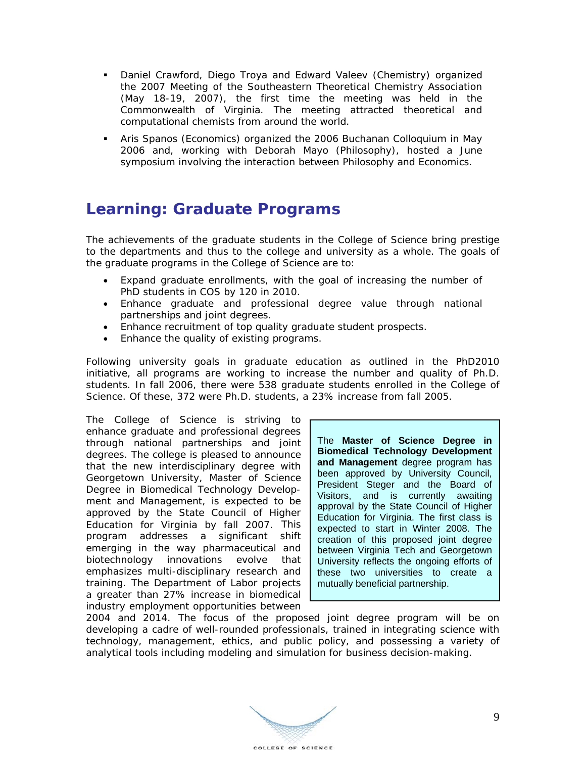- Daniel Crawford, Diego Troya and Edward Valeev (Chemistry) organized the 2007 Meeting of the Southeastern Theoretical Chemistry Association (May 18-19, 2007), the first time the meeting was held in the Commonwealth of Virginia. The meeting attracted theoretical and computational chemists from around the world.
- Aris Spanos (Economics) organized the 2006 Buchanan Colloquium in May 2006 and, working with Deborah Mayo (Philosophy), hosted a June symposium involving the interaction between Philosophy and Economics.

### **Learning: Graduate Programs**

The achievements of the graduate students in the College of Science bring prestige to the departments and thus to the college and university as a whole. The goals of the graduate programs in the College of Science are to:

- Expand graduate enrollments, with the goal of increasing the number of PhD students in COS by 120 in 2010.
- Enhance graduate and professional degree value through national partnerships and joint degrees.
- Enhance recruitment of top quality graduate student prospects.
- Enhance the quality of existing programs.

Following university goals in graduate education as outlined in the PhD2010 initiative, all programs are working to increase the number and quality of Ph.D. students. In fall 2006, there were 538 graduate students enrolled in the College of Science. Of these, 372 were Ph.D. students, a 23% increase from fall 2005.

The College of Science is striving to enhance graduate and professional degrees through national partnerships and joint degrees. The college is pleased to announce that the new interdisciplinary degree with Georgetown University, *Master of Science Degree in Biomedical Technology Development and Management*, is expected to be approved by the State Council of Higher Education for Virginia by fall 2007. This program addresses a significant shift emerging in the way pharmaceutical and biotechnology innovations evolve that emphasizes multi-disciplinary research and training. The Department of Labor projects a greater than 27% increase in biomedical industry employment opportunities between

The **Master of Science Degree in Biomedical Technology Development and Management** degree program has been approved by University Council, President Steger and the Board of Visitors, and is currently awaiting approval by the State Council of Higher Education for Virginia. The first class is expected to start in Winter 2008. The creation of this proposed joint degree between Virginia Tech and Georgetown University reflects the ongoing efforts of these two universities to create a mutually beneficial partnership.

2004 and 2014. The focus of the proposed joint degree program will be on developing a cadre of well-rounded professionals, trained in integrating science with technology, management, ethics, and public policy, and possessing a variety of analytical tools including modeling and simulation for business decision-making.

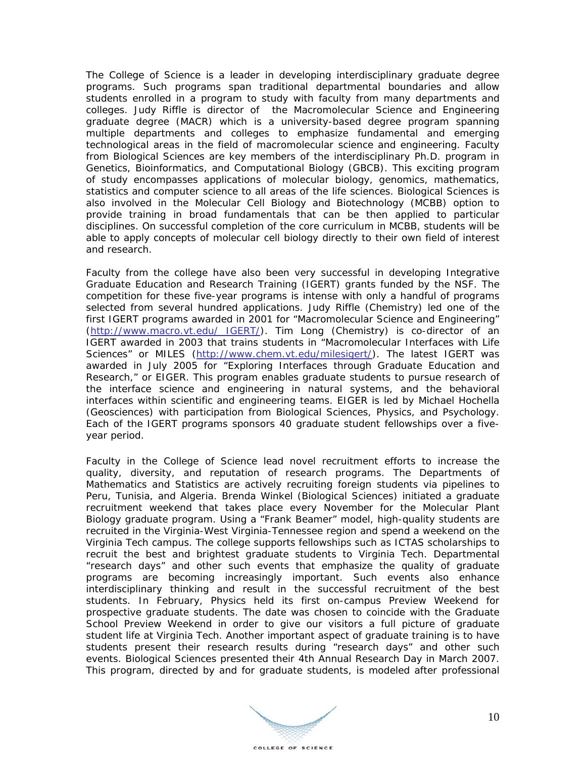The College of Science is a leader in developing interdisciplinary graduate degree programs. Such programs span traditional departmental boundaries and allow students enrolled in a program to study with faculty from many departments and colleges. Judy Riffle is director of the Macromolecular Science and Engineering graduate degree (MACR) which is a university-based degree program spanning multiple departments and colleges to emphasize fundamental and emerging technological areas in the field of macromolecular science and engineering. Faculty from Biological Sciences are key members of the interdisciplinary Ph.D. program in *Genetics, Bioinformatics, and Computational Biology (GBCB)*. This exciting program of study encompasses applications of molecular biology, genomics, mathematics, statistics and computer science to all areas of the life sciences. Biological Sciences is also involved in the *Molecular Cell Biology and Biotechnology (MCBB)* option to provide training in broad fundamentals that can be then applied to particular disciplines. On successful completion of the core curriculum in *MCBB*, students will be able to apply concepts of molecular cell biology directly to their own field of interest and research.

Faculty from the college have also been very successful in developing Integrative Graduate Education and Research Training (IGERT) grants funded by the NSF. The competition for these five-year programs is intense with only a handful of programs selected from several hundred applications. Judy Riffle (Chemistry) led one of the first IGERT programs awarded in 2001 for "Macromolecular Science and Engineering" (http://www.macro.vt.edu/ IGERT/). Tim Long (Chemistry) is co-director of an IGERT awarded in 2003 that trains students in "Macromolecular Interfaces with Life Sciences" or *MILES* (http://www.chem.vt.edu/milesigert/). The latest IGERT was awarded in July 2005 for "Exploring Interfaces through Graduate Education and Research," or *EIGER.* This program enables graduate students to pursue research of the interface science and engineering in natural systems, and the behavioral interfaces within scientific and engineering teams. *EIGER* is led by Michael Hochella (Geosciences) with participation from Biological Sciences, Physics, and Psychology. Each of the IGERT programs sponsors 40 graduate student fellowships over a fiveyear period.

Faculty in the College of Science lead novel recruitment efforts to increase the quality, diversity, and reputation of research programs. The Departments of Mathematics and Statistics are actively recruiting foreign students via pipelines to Peru, Tunisia, and Algeria. Brenda Winkel (Biological Sciences) initiated a graduate recruitment weekend that takes place every November for the *Molecular Plant Biology* graduate program. Using a "Frank Beamer" model, high-quality students are recruited in the Virginia-West Virginia-Tennessee region and spend a weekend on the Virginia Tech campus. The college supports fellowships such as ICTAS scholarships to recruit the best and brightest graduate students to Virginia Tech. Departmental "research days" and other such events that emphasize the quality of graduate programs are becoming increasingly important. Such events also enhance interdisciplinary thinking and result in the successful recruitment of the best students. In February, Physics held its first on-campus Preview Weekend for prospective graduate students. The date was chosen to coincide with the Graduate School Preview Weekend in order to give our visitors a full picture of graduate student life at Virginia Tech. Another important aspect of graduate training is to have students present their research results during "research days" and other such events. Biological Sciences presented their 4th Annual Research Day in March 2007. This program, directed by and for graduate students, is modeled after professional

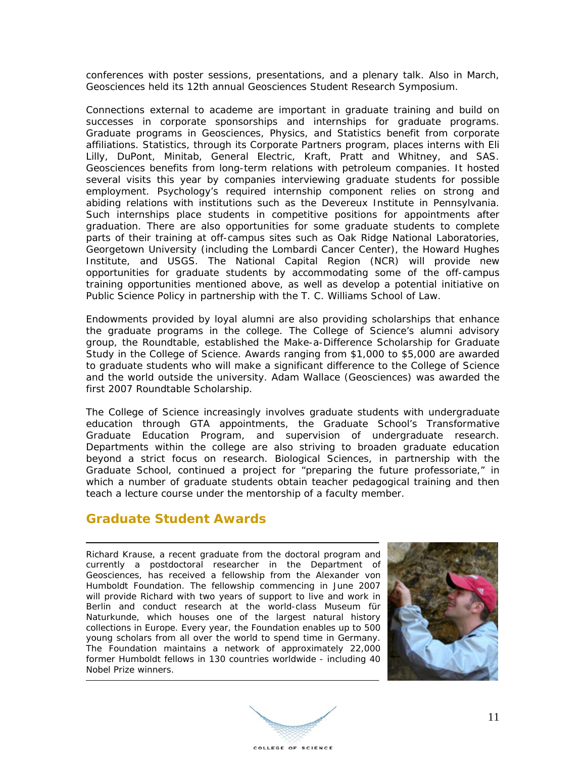conferences with poster sessions, presentations, and a plenary talk. Also in March, Geosciences held its 12th annual Geosciences Student Research Symposium.

Connections external to academe are important in graduate training and build on successes in corporate sponsorships and internships for graduate programs. Graduate programs in Geosciences, Physics, and Statistics benefit from corporate affiliations. Statistics, through its Corporate Partners program, places interns with Eli Lilly, DuPont, Minitab, General Electric, Kraft, Pratt and Whitney, and SAS. Geosciences benefits from long-term relations with petroleum companies. It hosted several visits this year by companies interviewing graduate students for possible employment. Psychology's required internship component relies on strong and abiding relations with institutions such as the Devereux Institute in Pennsylvania. Such internships place students in competitive positions for appointments after graduation. There are also opportunities for some graduate students to complete parts of their training at off-campus sites such as Oak Ridge National Laboratories, Georgetown University (including the Lombardi Cancer Center), the Howard Hughes Institute, and USGS. The National Capital Region (NCR) will provide new opportunities for graduate students by accommodating some of the off-campus training opportunities mentioned above, as well as develop a potential initiative on Public Science Policy in partnership with the T. C. Williams School of Law.

Endowments provided by loyal alumni are also providing scholarships that enhance the graduate programs in the college. The College of Science's alumni advisory group, the Roundtable, established the Make-a-Difference Scholarship for Graduate Study in the College of Science. Awards ranging from \$1,000 to \$5,000 are awarded to graduate students who will make a significant difference to the College of Science and the world outside the university. Adam Wallace (Geosciences) was awarded the first 2007 Roundtable Scholarship.

The College of Science increasingly involves graduate students with undergraduate education through GTA appointments, the Graduate School's Transformative Graduate Education Program, and supervision of undergraduate research. Departments within the college are also striving to broaden graduate education beyond a strict focus on research. Biological Sciences, in partnership with the Graduate School, continued a project for "preparing the future professoriate," in which a number of graduate students obtain teacher pedagogical training and then teach a lecture course under the mentorship of a faculty member.

#### **Graduate Student Awards**

Richard Krause, a recent graduate from the doctoral program and currently a postdoctoral researcher in the Department of Geosciences, has received a fellowship from the Alexander von Humboldt Foundation. The fellowship commencing in June 2007 will provide Richard with two years of support to live and work in Berlin and conduct research at the world-class Museum für Naturkunde, which houses one of the largest natural history collections in Europe. Every year, the Foundation enables up to 500 young scholars from all over the world to spend time in Germany. The Foundation maintains a network of approximately 22,000 former Humboldt fellows in 130 countries worldwide - including 40 Nobel Prize winners.



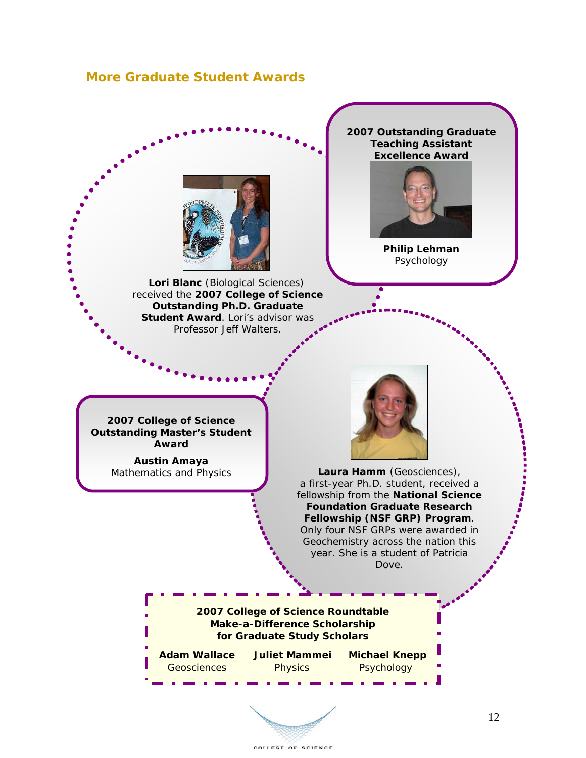#### **More Graduate Student Awards**



**Lori Blanc** (Biological Sciences) received the **2007 College of Science Outstanding Ph.D. Graduate Student Award**. Lori's advisor was Professor Jeff Walters.

**2007 Outstanding Graduate Teaching Assistant Excellence Award** 



**Philip Lehman**  Psychology

**2007 College of Science Outstanding Master's Student Award** 

> **Austin Amaya**  Mathematics and Physics



**Laura Hamm** (Geosciences), a first-year Ph.D. student, received a fellowship from the **National Science Foundation Graduate Research Fellowship (NSF GRP) Program**. Only four NSF GRPs were awarded in Geochemistry across the nation this year. She is a student of Patricia Dove.

**2007 College of Science Roundtable Make-a-Difference Scholarship for Graduate Study Scholars** 

**Adam Wallace Juliet Mammei Michael Knepp** Geosciences Physics Psychology

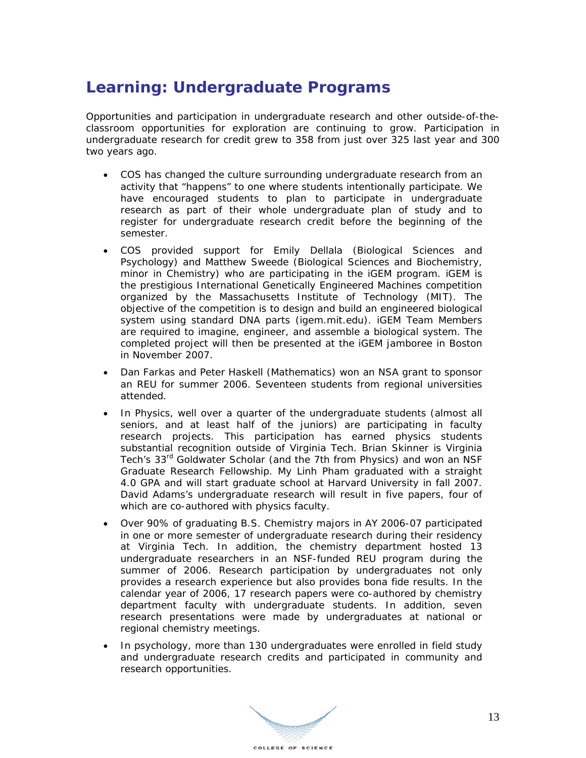### **Learning: Undergraduate Programs**

Opportunities and participation in undergraduate research and other outside-of-theclassroom opportunities for exploration are continuing to grow. Participation in undergraduate research for credit grew to 358 from just over 325 last year and 300 two years ago.

- COS has changed the culture surrounding undergraduate research from an activity that "happens" to one where students intentionally participate. We have encouraged students to plan to participate in undergraduate research as part of their whole undergraduate plan of study and to register for undergraduate research credit before the beginning of the semester.
- COS provided support for Emily Dellala (Biological Sciences and Psychology) and Matthew Sweede (Biological Sciences and Biochemistry, minor in Chemistry) who are participating in the iGEM program. iGEM is the prestigious International Genetically Engineered Machines competition organized by the Massachusetts Institute of Technology (MIT). The objective of the competition is to design and build an engineered biological system using standard DNA parts (igem.mit.edu). iGEM Team Members are required to imagine, engineer, and assemble a biological system. The completed project will then be presented at the iGEM jamboree in Boston in November 2007.
- Dan Farkas and Peter Haskell (Mathematics) won an NSA grant to sponsor an REU for summer 2006. Seventeen students from regional universities attended.
- In Physics, well over a quarter of the undergraduate students (almost all seniors, and at least half of the juniors) are participating in faculty research projects. This participation has earned physics students substantial recognition outside of Virginia Tech. Brian Skinner is Virginia Tech's 33<sup>rd</sup> Goldwater Scholar (and the 7th from Physics) and won an NSF Graduate Research Fellowship. My Linh Pham graduated with a straight 4.0 GPA and will start graduate school at Harvard University in fall 2007. David Adams's undergraduate research will result in *five* papers, four of which are co-authored with physics faculty.
- Over 90% of graduating B.S. Chemistry majors in AY 2006-07 participated in one or more semester of undergraduate research during their residency at Virginia Tech. In addition, the chemistry department hosted 13 undergraduate researchers in an NSF-funded REU program during the summer of 2006. Research participation by undergraduates not only provides a research experience but also provides bona fide results. In the calendar year of 2006, 17 research papers were co-authored by chemistry department faculty with undergraduate students. In addition, seven research presentations were made by undergraduates at national or regional chemistry meetings.
- In psychology, more than 130 undergraduates were enrolled in field study and undergraduate research credits and participated in community and research opportunities.

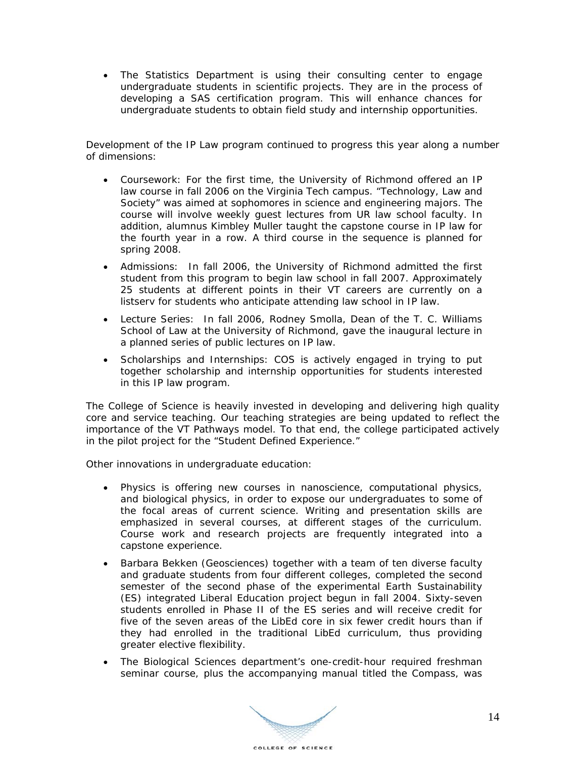• The Statistics Department is using their consulting center to engage undergraduate students in scientific projects. They are in the process of developing a SAS certification program. This will enhance chances for undergraduate students to obtain field study and internship opportunities.

Development of the IP Law program continued to progress this year along a number of dimensions:

- Coursework: For the first time, the University of Richmond offered an IP law course in fall 2006 on the Virginia Tech campus. "Technology, Law and Society" was aimed at sophomores in science and engineering majors. The course will involve weekly guest lectures from UR law school faculty. In addition, alumnus Kimbley Muller taught the capstone course in IP law for the fourth year in a row. A third course in the sequence is planned for spring 2008.
- Admissions: In fall 2006, the University of Richmond admitted the first student from this program to begin law school in fall 2007. Approximately 25 students at different points in their VT careers are currently on a listserv for students who anticipate attending law school in IP law.
- Lecture Series: In fall 2006, Rodney Smolla, Dean of the T. C. Williams School of Law at the University of Richmond, gave the inaugural lecture in a planned series of public lectures on IP law.
- Scholarships and Internships: COS is actively engaged in trying to put together scholarship and internship opportunities for students interested in this IP law program.

The College of Science is heavily invested in developing and delivering high quality core and service teaching. Our teaching strategies are being updated to reflect the importance of the VT Pathways model. To that end, the college participated actively in the pilot project for the "Student Defined Experience."

Other innovations in undergraduate education:

- Physics is offering new courses in nanoscience, computational physics, and biological physics, in order to expose our undergraduates to some of the focal areas of current science. Writing and presentation skills are emphasized in several courses, at different stages of the curriculum. Course work and research projects are frequently integrated into a capstone experience.
- Barbara Bekken (Geosciences) together with a team of ten diverse faculty and graduate students from four different colleges, completed the second semester of the second phase of the experimental Earth Sustainability (ES) integrated Liberal Education project begun in fall 2004. Sixty-seven students enrolled in Phase II of the ES series and will receive credit for five of the seven areas of the LibEd core in six fewer credit hours than if they had enrolled in the traditional LibEd curriculum, thus providing greater elective flexibility.
- The Biological Sciences department's one-credit-hour required freshman seminar course, plus the accompanying manual titled the Compass, was

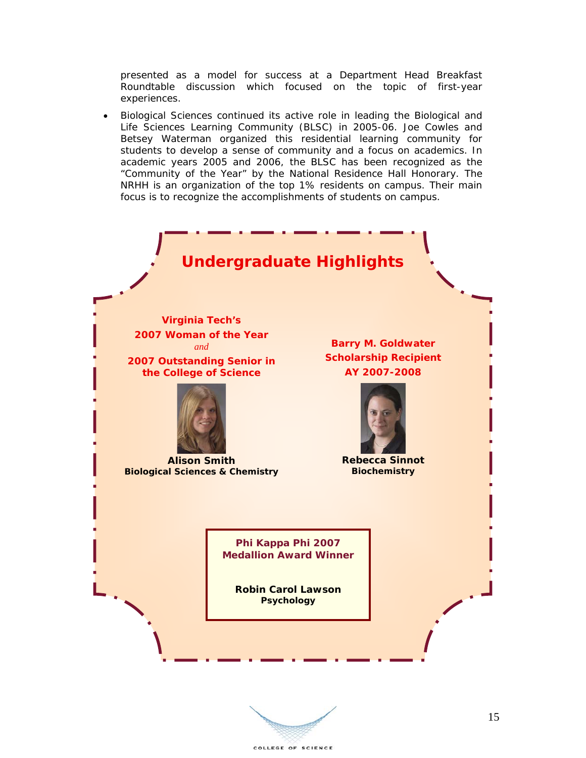presented as a model for success at a Department Head Breakfast Roundtable discussion which focused on the topic of first-year experiences.

• Biological Sciences continued its active role in leading the Biological and Life Sciences Learning Community (BLSC) in 2005-06. Joe Cowles and Betsey Waterman organized this residential learning community for students to develop a sense of community and a focus on academics. In academic years 2005 and 2006, the BLSC has been recognized as the "Community of the Year" by the National Residence Hall Honorary. The NRHH is an organization of the top 1% residents on campus. Their main focus is to recognize the accomplishments of students on campus.



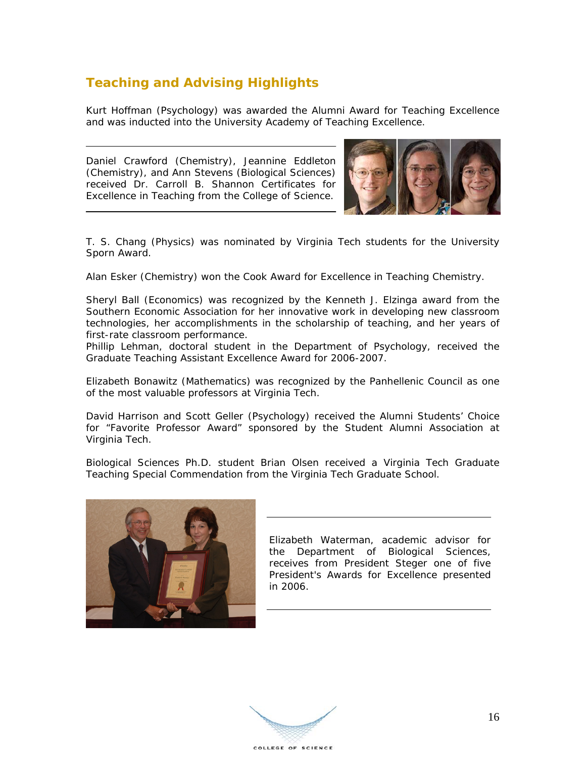### **Teaching and Advising Highlights**

Kurt Hoffman (Psychology) was awarded the Alumni Award for Teaching Excellence and was inducted into the University Academy of Teaching Excellence.

Daniel Crawford (Chemistry), Jeannine Eddleton (Chemistry), and Ann Stevens (Biological Sciences) received Dr. Carroll B. Shannon Certificates for Excellence in Teaching from the College of Science.



T. S. Chang (Physics) was nominated by Virginia Tech students for the University Sporn Award.

Alan Esker (Chemistry) won the Cook Award for Excellence in Teaching Chemistry.

Sheryl Ball (Economics) was recognized by the Kenneth J. Elzinga award from the Southern Economic Association for her innovative work in developing new classroom technologies, her accomplishments in the scholarship of teaching, and her years of first-rate classroom performance.

Phillip Lehman, doctoral student in the Department of Psychology, received the Graduate Teaching Assistant Excellence Award for 2006-2007.

Elizabeth Bonawitz (Mathematics) was recognized by the Panhellenic Council as one of the most valuable professors at Virginia Tech.

David Harrison and Scott Geller (Psychology) received the Alumni Students' Choice for "Favorite Professor Award" sponsored by the Student Alumni Association at Virginia Tech.

Biological Sciences Ph.D. student Brian Olsen received a Virginia Tech Graduate Teaching Special Commendation from the Virginia Tech Graduate School.



Elizabeth Waterman, academic advisor for the Department of Biological Sciences, receives from President Steger one of five President's Awards for Excellence presented in 2006.

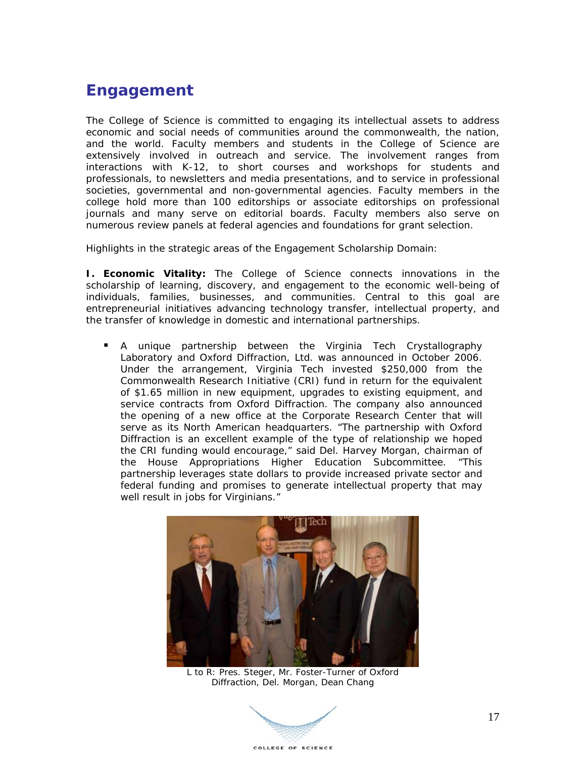### **Engagement**

The College of Science is committed to engaging its intellectual assets to address economic and social needs of communities around the commonwealth, the nation, and the world. Faculty members and students in the College of Science are extensively involved in outreach and service. The involvement ranges from interactions with K-12, to short courses and workshops for students and professionals, to newsletters and media presentations, and to service in professional societies, governmental and non-governmental agencies. Faculty members in the college hold more than 100 editorships or associate editorships on professional journals and many serve on editorial boards. Faculty members also serve on numerous review panels at federal agencies and foundations for grant selection.

Highlights in the strategic areas of the Engagement Scholarship Domain:

**I. Economic Vitality:** The College of Science connects innovations in the scholarship of learning, discovery, and engagement to the economic well-being of individuals, families, businesses, and communities. Central to this goal are entrepreneurial initiatives advancing technology transfer, intellectual property, and the transfer of knowledge in domestic and international partnerships.

 A unique partnership between the Virginia Tech Crystallography Laboratory and Oxford Diffraction, Ltd. was announced in October 2006. Under the arrangement, Virginia Tech invested \$250,000 from the Commonwealth Research Initiative (CRI) fund in return for the equivalent of \$1.65 million in new equipment, upgrades to existing equipment, and service contracts from Oxford Diffraction. The company also announced the opening of a new office at the Corporate Research Center that will serve as its North American headquarters. "The partnership with Oxford Diffraction is an excellent example of the type of relationship we hoped the CRI funding would encourage," said Del. Harvey Morgan, chairman of the House Appropriations Higher Education Subcommittee. "This partnership leverages state dollars to provide increased private sector and federal funding and promises to generate intellectual property that may well result in jobs for Virginians."



L to R: Pres. Steger, Mr. Foster-Turner of Oxford Diffraction, Del. Morgan, Dean Chang

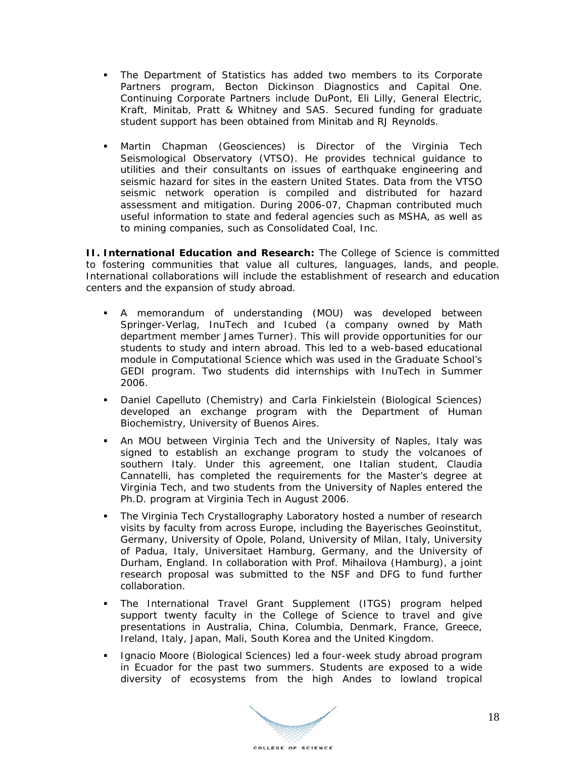- The Department of Statistics has added two members to its Corporate Partners program, Becton Dickinson Diagnostics and Capital One. Continuing Corporate Partners include DuPont, Eli Lilly, General Electric, Kraft, Minitab, Pratt & Whitney and SAS. Secured funding for graduate student support has been obtained from Minitab and RJ Reynolds.
- Martin Chapman (Geosciences) is Director of the *Virginia Tech Seismological Observatory (VTSO).* He provides technical guidance to utilities and their consultants on issues of earthquake engineering and seismic hazard for sites in the eastern United States. Data from the VTSO seismic network operation is compiled and distributed for hazard assessment and mitigation. During 2006-07, Chapman contributed much useful information to state and federal agencies such as MSHA, as well as to mining companies, such as Consolidated Coal, Inc.

**II. International Education and Research:** The College of Science is committed to fostering communities that value all cultures, languages, lands, and people. International collaborations will include the establishment of research and education centers and the expansion of study abroad.

- A memorandum of understanding (MOU) was developed between Springer-Verlag, InuTech and Icubed (a company owned by Math department member James Turner). This will provide opportunities for our students to study and intern abroad. This led to a web-based educational module in Computational Science which was used in the Graduate School's GEDI program. Two students did internships with InuTech in Summer 2006.
- Daniel Capelluto (Chemistry) and Carla Finkielstein (Biological Sciences) developed an exchange program with the Department of Human Biochemistry, University of Buenos Aires.
- An MOU between Virginia Tech and the University of Naples, Italy was signed to establish an exchange program to study the volcanoes of southern Italy. Under this agreement, one Italian student, Claudia Cannatelli, has completed the requirements for the Master's degree at Virginia Tech, and two students from the University of Naples entered the Ph.D. program at Virginia Tech in August 2006.
- The Virginia Tech Crystallography Laboratory hosted a number of research visits by faculty from across Europe, including the Bayerisches Geoinstitut, Germany, University of Opole, Poland, University of Milan, Italy, University of Padua, Italy, Universitaet Hamburg, Germany, and the University of Durham, England. In collaboration with Prof. Mihailova (Hamburg), a joint research proposal was submitted to the NSF and DFG to fund further collaboration.
- The International Travel Grant Supplement (ITGS) program helped support twenty faculty in the College of Science to travel and give presentations in Australia, China, Columbia, Denmark, France, Greece, Ireland, Italy, Japan, Mali, South Korea and the United Kingdom.
- **Ignacio Moore (Biological Sciences) led a four-week study abroad program** in Ecuador for the past two summers. Students are exposed to a wide diversity of ecosystems from the high Andes to lowland tropical

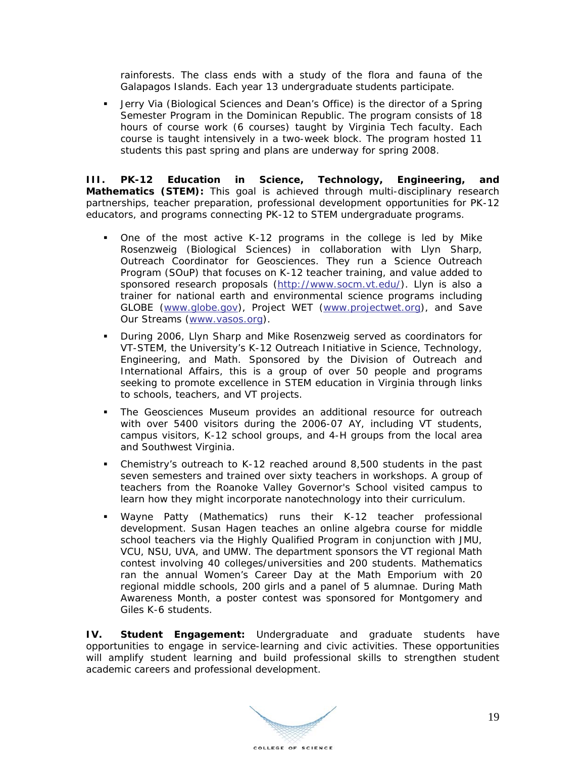rainforests. The class ends with a study of the flora and fauna of the Galapagos Islands. Each year 13 undergraduate students participate.

 Jerry Via (Biological Sciences and Dean's Office) is the director of a Spring Semester Program in the Dominican Republic. The program consists of 18 hours of course work (6 courses) taught by Virginia Tech faculty. Each course is taught intensively in a two-week block. The program hosted 11 students this past spring and plans are underway for spring 2008.

**III. PK-12 Education in Science, Technology, Engineering, and Mathematics (STEM):** This goal is achieved through multi-disciplinary research partnerships, teacher preparation, professional development opportunities for PK-12 educators, and programs connecting PK-12 to STEM undergraduate programs.

- One of the most active K-12 programs in the college is led by Mike Rosenzweig (Biological Sciences) in collaboration with Llyn Sharp, Outreach Coordinator for Geosciences. They run a Science Outreach Program (SOuP) that focuses on K-12 teacher training, and value added to sponsored research proposals (http://www.socm.vt.edu/). Llyn is also a trainer for national earth and environmental science programs including GLOBE (www.globe.gov), Project WET (www.projectwet.org), and Save Our Streams (www.vasos.org).
- During 2006, Llyn Sharp and Mike Rosenzweig served as coordinators for VT-STEM, the University's K-12 Outreach Initiative in Science, Technology, Engineering, and Math. Sponsored by the Division of Outreach and International Affairs, this is a group of over 50 people and programs seeking to promote excellence in STEM education in Virginia through links to schools, teachers, and VT projects.
- The Geosciences Museum provides an additional resource for outreach with over 5400 visitors during the 2006-07 AY, including VT students, campus visitors, K-12 school groups, and 4-H groups from the local area and Southwest Virginia.
- Chemistry's outreach to K-12 reached around 8,500 students in the past seven semesters and trained over sixty teachers in workshops. A group of teachers from the Roanoke Valley Governor's School visited campus to learn how they might incorporate nanotechnology into their curriculum.
- Wayne Patty (Mathematics) runs their K-12 teacher professional development. Susan Hagen teaches an online algebra course for middle school teachers via the Highly Qualified Program in conjunction with JMU, VCU, NSU, UVA, and UMW. The department sponsors the VT regional Math contest involving 40 colleges/universities and 200 students. Mathematics ran the annual Women's Career Day at the Math Emporium with 20 regional middle schools, 200 girls and a panel of 5 alumnae. During Math Awareness Month, a poster contest was sponsored for Montgomery and Giles K-6 students.

**IV. Student Engagement:** Undergraduate and graduate students have opportunities to engage in service-learning and civic activities. These opportunities will amplify student learning and build professional skills to strengthen student academic careers and professional development.

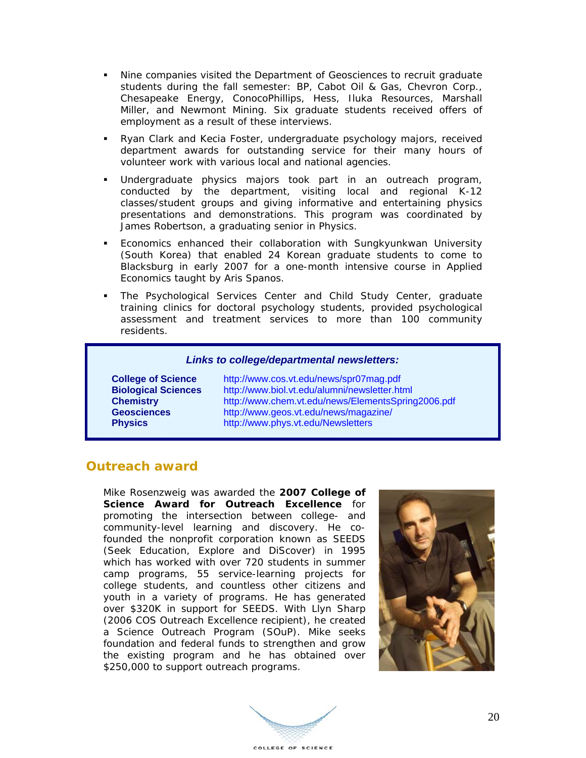- Nine companies visited the Department of Geosciences to recruit graduate students during the fall semester: BP, Cabot Oil & Gas, Chevron Corp., Chesapeake Energy, ConocoPhillips, Hess, Iluka Resources, Marshall Miller, and Newmont Mining. Six graduate students received offers of employment as a result of these interviews.
- Ryan Clark and Kecia Foster, undergraduate psychology majors, received department awards for outstanding service for their many hours of volunteer work with various local and national agencies.
- Undergraduate physics majors took part in an outreach program, conducted by the department, visiting local and regional K-12 classes/student groups and giving informative and entertaining physics presentations and demonstrations. This program was coordinated by James Robertson, a graduating senior in Physics.
- Economics enhanced their collaboration with Sungkyunkwan University (South Korea) that enabled 24 Korean graduate students to come to Blacksburg in early 2007 for a one-month intensive course in Applied Economics taught by Aris Spanos.
- The Psychological Services Center and Child Study Center, graduate training clinics for doctoral psychology students, provided psychological assessment and treatment services to more than 100 community residents.

#### *Links to college/departmental newsletters:*

**College of Science** http://www.cos.vt.edu/news/spr07mag.pdf **Biological Sciences** http://www.biol.vt.edu/alumni/newsletter.html **Chemistry** http://www.chem.vt.edu/news/ElementsSpring2006.pdf **Geosciences** http://www.geos.vt.edu/news/magazine/ **Physics** http://www.phys.vt.edu/Newsletters

#### **Outreach award**

Mike Rosenzweig was awarded the **2007 College of Science Award for Outreach Excellence** for promoting the intersection between college- and community-level learning and discovery. He cofounded the nonprofit corporation known as SEEDS (Seek Education, Explore and DiScover) in 1995 which has worked with over 720 students in summer camp programs, 55 service-learning projects for college students, and countless other citizens and youth in a variety of programs. He has generated over \$320K in support for SEEDS. With Llyn Sharp (2006 COS Outreach Excellence recipient), he created a Science Outreach Program (SOuP). Mike seeks foundation and federal funds to strengthen and grow the existing program and he has obtained over \$250,000 to support outreach programs.



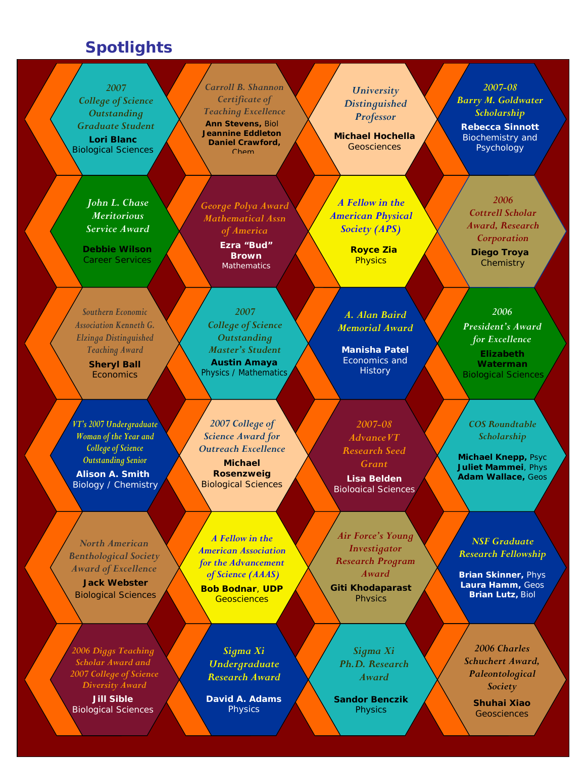### **Spotlights**

*2007 College of Science Outstanding Graduate Student*  **Lori Blanc** Biological Sciences

> *John L. Chase Meritorious Service Award*

**Debbie Wilson**  Career Services

*Southern Economic Association Kenneth G. Elzinga Distinguished Teaching Award*  **Sheryl Ball Economics** 

*VT's 2007 Undergraduate Woman of the Year and College of Science Outstanding Senior* 

**Alison A. Smith** Biology / Chemistry

*North American Benthological Society Award of Excellence* 

**Jack Webster** Biological Sciences

*2006 Diggs Teaching Scholar Award and 2007 College of Science Diversity Award* 

**Jill Sible** Biological Sciences

*Carroll B. Shannon Certificate of Teaching Excellence* **Ann Stevens,** Biol **Jeannine Eddleton Daniel Crawford,** Chem

*George Polya Award Mathematical Assn of America* 

> **Ezra "Bud" Brown Mathematics**

*2007 College of Science Outstanding Master's Student*  **Austin Amaya** Physics / Mathematics

*2007 College of Science Award for Outreach Excellence*

**Michael Rosenzweig**  Biological Sciences

*A Fellow in the American Association for the Advancement of Science (AAAS)*  **Bob Bodnar**, **UDP Geosciences** 

*Sigma Xi Undergraduate Research Award* 

**David A. Adams Physics** 

*University Distinguished Professor* 

**Michael Hochella Geosciences** 

*A Fellow in the American Physical Society (APS)* 

> **Royce Zia Physics**

*A. Alan Baird Memorial Award* 

**Manisha Patel** Economics and **History** 

*2007-08 AdvanceVT Research Seed Grant*  **Lisa Belden**

Biological Sciences

*Air Force's Young Investigator Research Program Award*  **Giti Khodaparast Physics** 

*Sigma Xi Ph.D. Research Award*

**Sandor Benczik Physics** 

*2007-08 Barry M. Goldwater Scholarship*  **Rebecca Sinnott** Biochemistry and

Psychology

*2006 Cottrell Scholar Award, Research Corporation* **Diego Troya Chemistry** 

*2006 President's Award for Excellence*  **Elizabeth Waterman** Biological Sciences

*COS Roundtable Scholarship*

**Michael Knepp,** Psyc **Juliet Mammei**, Phys **Adam Wallace,** Geos

*NSF Graduate Research Fellowship*

**Brian Skinner,** Phys **Laura Hamm,** Geos **Brian Lutz,** Biol

*2006 Charles Schuchert Award, Paleontological Society* 

> **Shuhai Xiao Geosciences**

> > 21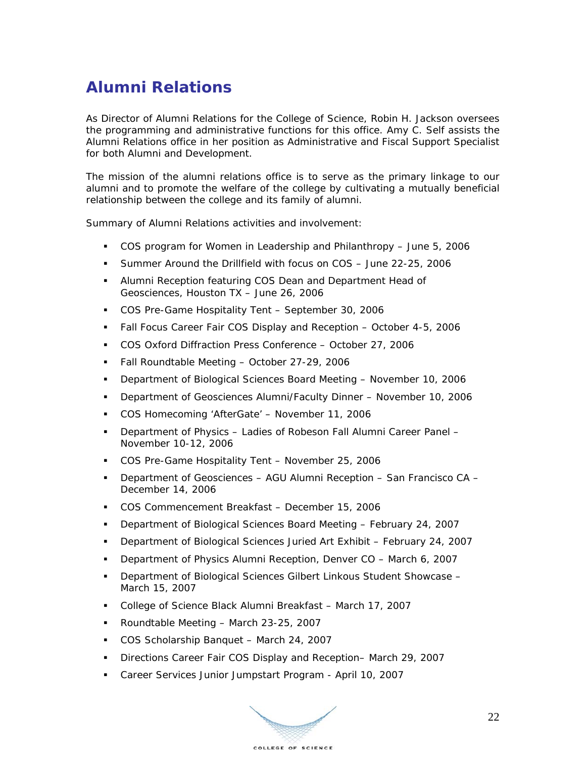# **Alumni Relations**

As Director of Alumni Relations for the College of Science, Robin H. Jackson oversees the programming and administrative functions for this office. Amy C. Self assists the Alumni Relations office in her position as Administrative and Fiscal Support Specialist for both Alumni and Development.

The mission of the alumni relations office is to serve as the primary linkage to our alumni and to promote the welfare of the college by cultivating a mutually beneficial relationship between the college and its family of alumni.

Summary of Alumni Relations activities and involvement:

- COS program for Women in Leadership and Philanthropy June 5, 2006
- Summer Around the Drillfield with focus on COS June 22-25, 2006
- Alumni Reception featuring COS Dean and Department Head of Geosciences, Houston TX – June 26, 2006
- COS Pre-Game Hospitality Tent September 30, 2006
- Fall Focus Career Fair COS Display and Reception October 4-5, 2006
- COS Oxford Diffraction Press Conference October 27, 2006
- Fall Roundtable Meeting October 27-29, 2006
- Department of Biological Sciences Board Meeting November 10, 2006
- Department of Geosciences Alumni/Faculty Dinner November 10, 2006
- COS Homecoming 'AfterGate' November 11, 2006
- Department of Physics Ladies of Robeson Fall Alumni Career Panel November 10-12, 2006
- COS Pre-Game Hospitality Tent November 25, 2006
- Department of Geosciences AGU Alumni Reception San Francisco CA December 14, 2006
- COS Commencement Breakfast December 15, 2006
- Department of Biological Sciences Board Meeting February 24, 2007
- Department of Biological Sciences Juried Art Exhibit February 24, 2007
- Department of Physics Alumni Reception, Denver CO March 6, 2007
- Department of Biological Sciences Gilbert Linkous Student Showcase March 15, 2007
- College of Science Black Alumni Breakfast March 17, 2007
- Roundtable Meeting March 23-25, 2007
- COS Scholarship Banquet March 24, 2007
- Directions Career Fair COS Display and Reception-March 29, 2007
- Career Services Junior Jumpstart Program April 10, 2007

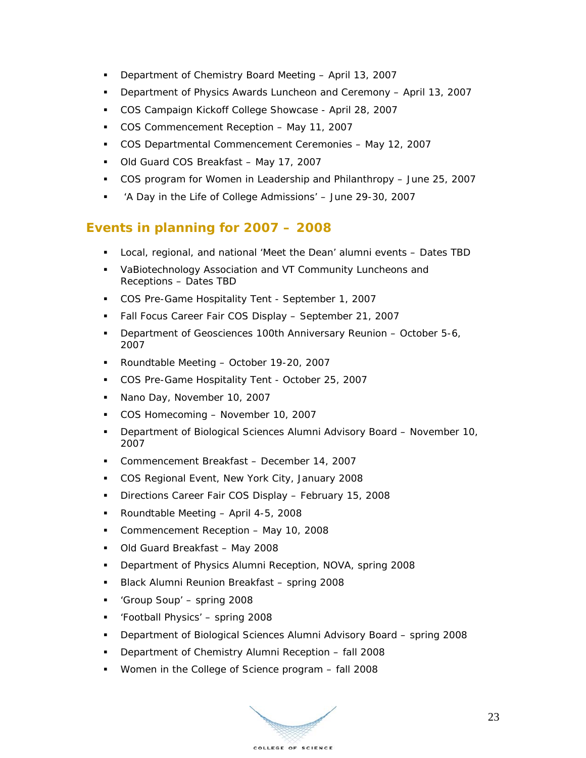- Department of Chemistry Board Meeting April 13, 2007
- Department of Physics Awards Luncheon and Ceremony April 13, 2007
- COS Campaign Kickoff College Showcase April 28, 2007
- COS Commencement Reception May 11, 2007
- COS Departmental Commencement Ceremonies May 12, 2007
- Old Guard COS Breakfast May 17, 2007
- COS program for Women in Leadership and Philanthropy June 25, 2007
- 'A Day in the Life of College Admissions' June 29-30, 2007

#### **Events in planning for 2007 – 2008**

- Local, regional, and national 'Meet the Dean' alumni events Dates TBD
- VaBiotechnology Association and VT Community Luncheons and Receptions – Dates TBD
- COS Pre-Game Hospitality Tent September 1, 2007
- Fall Focus Career Fair COS Display September 21, 2007
- **Department of Geosciences 100th Anniversary Reunion October 5-6,** 2007
- Roundtable Meeting October 19-20, 2007
- COS Pre-Game Hospitality Tent October 25, 2007
- Nano Day, November 10, 2007
- COS Homecoming November 10, 2007
- Department of Biological Sciences Alumni Advisory Board November 10, 2007
- Commencement Breakfast December 14, 2007
- **COS Regional Event, New York City, January 2008**
- **Directions Career Fair COS Display February 15, 2008**
- Roundtable Meeting April 4-5, 2008
- Commencement Reception May 10, 2008
- Old Guard Breakfast May 2008
- Department of Physics Alumni Reception, NOVA, spring 2008
- Black Alumni Reunion Breakfast spring 2008
- 'Group Soup' spring 2008
- 'Football Physics' spring 2008
- Department of Biological Sciences Alumni Advisory Board spring 2008
- Department of Chemistry Alumni Reception fall 2008
- Women in the College of Science program fall 2008

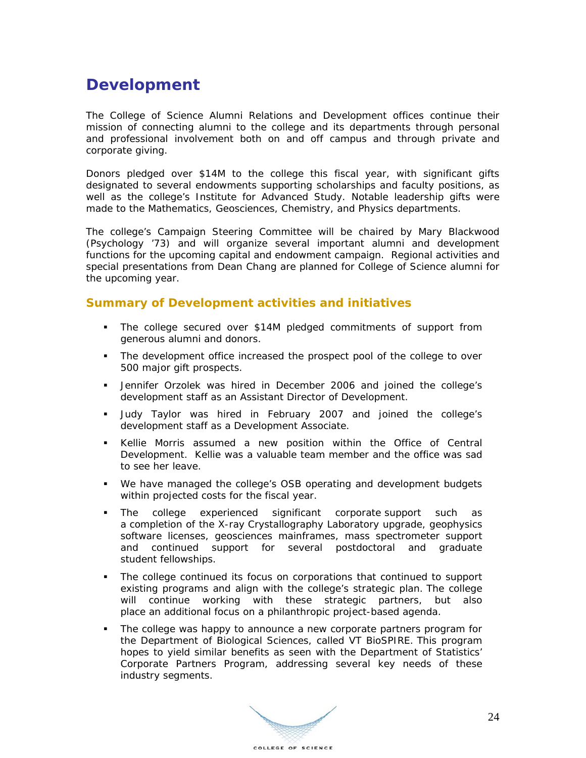### **Development**

The College of Science Alumni Relations and Development offices continue their mission of connecting alumni to the college and its departments through personal and professional involvement both on and off campus and through private and corporate giving.

Donors pledged over \$14M to the college this fiscal year, with significant gifts designated to several endowments supporting scholarships and faculty positions, as well as the college's Institute for Advanced Study. Notable leadership gifts were made to the Mathematics, Geosciences, Chemistry, and Physics departments.

The college's Campaign Steering Committee will be chaired by Mary Blackwood (Psychology '73) and will organize several important alumni and development functions for the upcoming capital and endowment campaign. Regional activities and special presentations from Dean Chang are planned for College of Science alumni for the upcoming year.

#### **Summary of Development activities and initiatives**

- The college secured over \$14M pledged commitments of support from generous alumni and donors.
- The development office increased the prospect pool of the college to over 500 major gift prospects.
- Jennifer Orzolek was hired in December 2006 and joined the college's development staff as an Assistant Director of Development.
- Judy Taylor was hired in February 2007 and joined the college's development staff as a Development Associate.
- Kellie Morris assumed a new position within the Office of Central Development. Kellie was a valuable team member and the office was sad to see her leave.
- We have managed the college's OSB operating and development budgets within projected costs for the fiscal year.
- The college experienced significant corporate support such as a completion of the X-ray Crystallography Laboratory upgrade, geophysics software licenses, geosciences mainframes, mass spectrometer support and continued support for several postdoctoral and graduate student fellowships.
- The college continued its focus on corporations that continued to support existing programs and align with the college's strategic plan. The college will continue working with these strategic partners, but also place an additional focus on a philanthropic project-based agenda.
- The college was happy to announce a new corporate partners program for the Department of Biological Sciences, called VT BioSPIRE. This program hopes to yield similar benefits as seen with the Department of Statistics' Corporate Partners Program, addressing several key needs of these industry segments.

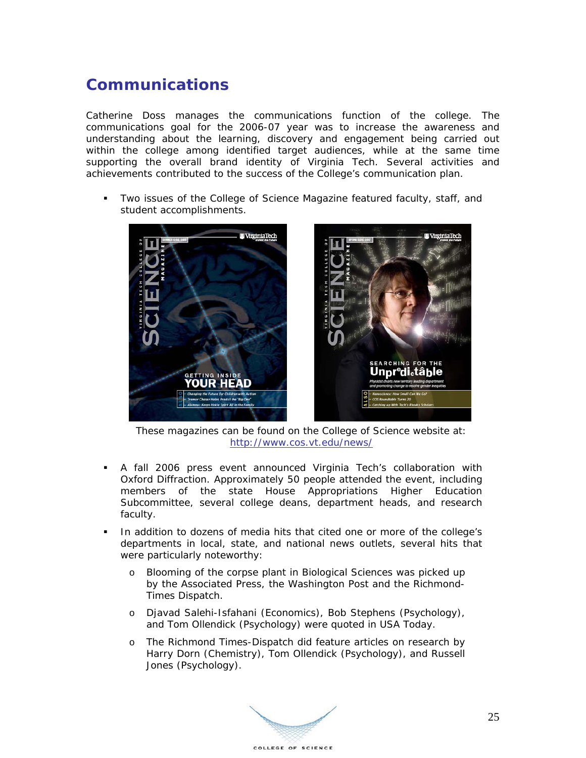### **Communications**

Catherine Doss manages the communications function of the college. The communications goal for the 2006-07 year was to increase the awareness and understanding about the learning, discovery and engagement being carried out within the college among identified target audiences, while at the same time supporting the overall brand identity of Virginia Tech. Several activities and achievements contributed to the success of the College's communication plan.

 Two issues of the College of Science Magazine featured faculty, staff, and student accomplishments.



These magazines can be found on the College of Science website at: http://www.cos.vt.edu/news/

- A fall 2006 press event announced Virginia Tech's collaboration with Oxford Diffraction. Approximately 50 people attended the event, including members of the state House Appropriations Higher Education Subcommittee, several college deans, department heads, and research faculty.
- In addition to dozens of media hits that cited one or more of the college's departments in local, state, and national news outlets, several hits that were particularly noteworthy:
	- o Blooming of the corpse plant in Biological Sciences was picked up by the Associated Press, the Washington Post and the Richmond-Times Dispatch.
	- o Djavad Salehi-Isfahani (Economics), Bob Stephens (Psychology), and Tom Ollendick (Psychology) were quoted in USA Today.
	- o The Richmond Times-Dispatch did feature articles on research by Harry Dorn (Chemistry), Tom Ollendick (Psychology), and Russell Jones (Psychology).

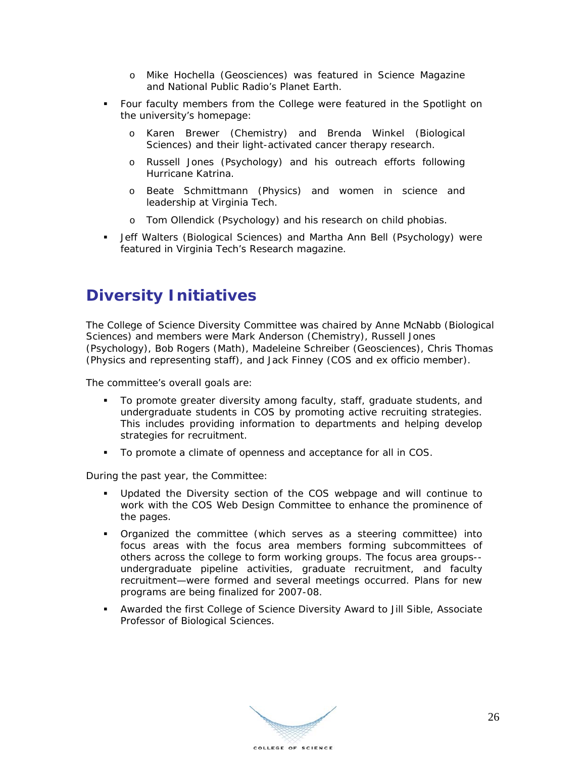- o Mike Hochella (Geosciences) was featured in Science Magazine and National Public Radio's Planet Earth.
- Four faculty members from the College were featured in the Spotlight on the university's homepage:
	- o Karen Brewer (Chemistry) and Brenda Winkel (Biological Sciences) and their light-activated cancer therapy research.
	- o Russell Jones (Psychology) and his outreach efforts following Hurricane Katrina.
	- o Beate Schmittmann (Physics) and women in science and leadership at Virginia Tech.
	- o Tom Ollendick (Psychology) and his research on child phobias.
- **-** Jeff Walters (Biological Sciences) and Martha Ann Bell (Psychology) were featured in Virginia Tech's Research magazine.

### **Diversity Initiatives**

The College of Science Diversity Committee was chaired by Anne McNabb (Biological Sciences) and members were Mark Anderson (Chemistry), Russell Jones (Psychology), Bob Rogers (Math), Madeleine Schreiber (Geosciences), Chris Thomas (Physics and representing staff), and Jack Finney (COS and ex officio member).

The committee's overall goals are:

- To promote greater diversity among faculty, staff, graduate students, and undergraduate students in COS by promoting active recruiting strategies. This includes providing information to departments and helping develop strategies for recruitment.
- To promote a climate of openness and acceptance for all in COS.

During the past year, the Committee:

- Updated the Diversity section of the COS webpage and will continue to work with the COS Web Design Committee to enhance the prominence of the pages.
- Organized the committee (which serves as a steering committee) into focus areas with the focus area members forming subcommittees of others across the college to form working groups. The focus area groups- undergraduate pipeline activities, graduate recruitment, and faculty recruitment—were formed and several meetings occurred. Plans for new programs are being finalized for 2007-08.
- Awarded the first College of Science Diversity Award to Jill Sible, Associate Professor of Biological Sciences.

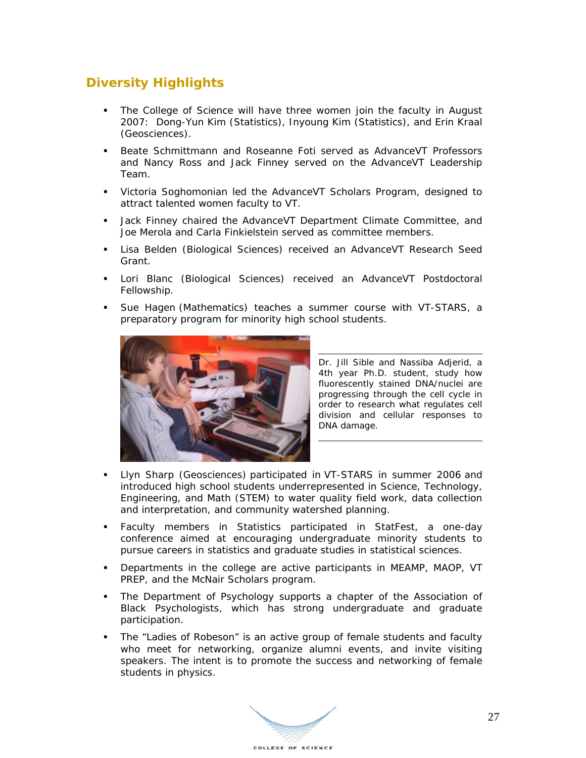### **Diversity Highlights**

- The College of Science will have three women join the faculty in August 2007: Dong-Yun Kim (Statistics), Inyoung Kim (Statistics), and Erin Kraal (Geosciences).
- Beate Schmittmann and Roseanne Foti served as AdvanceVT Professors and Nancy Ross and Jack Finney served on the AdvanceVT Leadership Team.
- Victoria Soghomonian led the AdvanceVT Scholars Program, designed to attract talented women faculty to VT.
- **Jack Finney chaired the AdvanceVT Department Climate Committee, and** Joe Merola and Carla Finkielstein served as committee members.
- Lisa Belden (Biological Sciences) received an AdvanceVT Research Seed Grant.
- Lori Blanc (Biological Sciences) received an AdvanceVT Postdoctoral Fellowship.
- Sue Hagen (Mathematics) teaches a summer course with VT-STARS, a preparatory program for minority high school students.



Dr. Jill Sible and Nassiba Adjerid, a 4th year Ph.D. student, study how fluorescently stained DNA/nuclei are progressing through the cell cycle in order to research what regulates cell division and cellular responses to DNA damage.

- Llyn Sharp (Geosciences) participated in VT-STARS in summer 2006 and introduced high school students underrepresented in Science, Technology, Engineering, and Math (STEM) to water quality field work, data collection and interpretation, and community watershed planning.
- Faculty members in Statistics participated in StatFest, a one-day conference aimed at encouraging undergraduate minority students to pursue careers in statistics and graduate studies in statistical sciences.
- Departments in the college are active participants in MEAMP, MAOP, VT PREP, and the McNair Scholars program.
- The Department of Psychology supports a chapter of the Association of Black Psychologists, which has strong undergraduate and graduate participation.
- The "Ladies of Robeson" is an active group of female students and faculty who meet for networking, organize alumni events, and invite visiting speakers. The intent is to promote the success and networking of female students in physics.

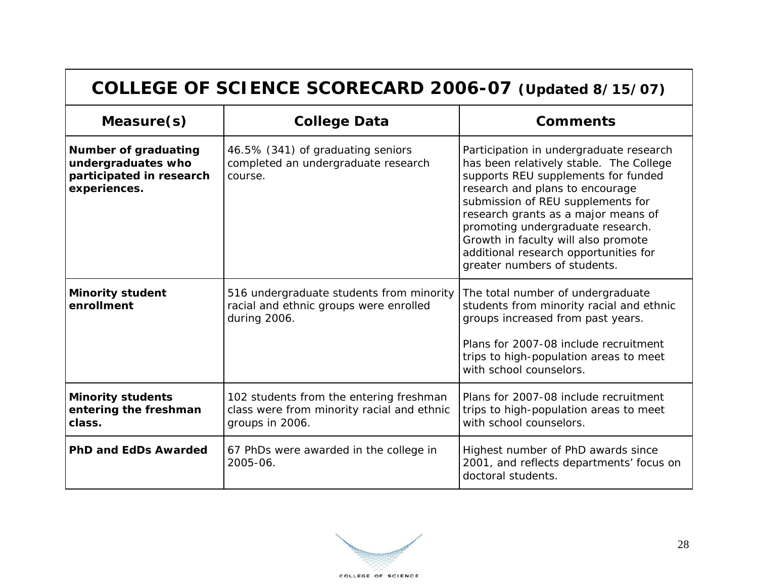| COLLEGE OF SCIENCE SCORECARD 2006-07 (Updated 8/15/07)                                        |                                                                                                          |                                                                                                                                                                                                                                                                                                                                                                                               |
|-----------------------------------------------------------------------------------------------|----------------------------------------------------------------------------------------------------------|-----------------------------------------------------------------------------------------------------------------------------------------------------------------------------------------------------------------------------------------------------------------------------------------------------------------------------------------------------------------------------------------------|
| Measure(s)                                                                                    | <b>College Data</b>                                                                                      | <b>Comments</b>                                                                                                                                                                                                                                                                                                                                                                               |
| <b>Number of graduating</b><br>undergraduates who<br>participated in research<br>experiences. | 46.5% (341) of graduating seniors<br>completed an undergraduate research<br>course.                      | Participation in undergraduate research<br>has been relatively stable. The College<br>supports REU supplements for funded<br>research and plans to encourage<br>submission of REU supplements for<br>research grants as a major means of<br>promoting undergraduate research.<br>Growth in faculty will also promote<br>additional research opportunities for<br>greater numbers of students. |
| <b>Minority student</b><br>enrollment                                                         | 516 undergraduate students from minority<br>racial and ethnic groups were enrolled<br>during 2006.       | The total number of undergraduate<br>students from minority racial and ethnic<br>groups increased from past years.<br>Plans for 2007-08 include recruitment<br>trips to high-population areas to meet<br>with school counselors.                                                                                                                                                              |
| <b>Minority students</b><br>entering the freshman<br>class.                                   | 102 students from the entering freshman<br>class were from minority racial and ethnic<br>groups in 2006. | Plans for 2007-08 include recruitment<br>trips to high-population areas to meet<br>with school counselors.                                                                                                                                                                                                                                                                                    |
| <b>PhD and EdDs Awarded</b>                                                                   | 67 PhDs were awarded in the college in<br>2005-06.                                                       | Highest number of PhD awards since<br>2001, and reflects departments' focus on<br>doctoral students.                                                                                                                                                                                                                                                                                          |

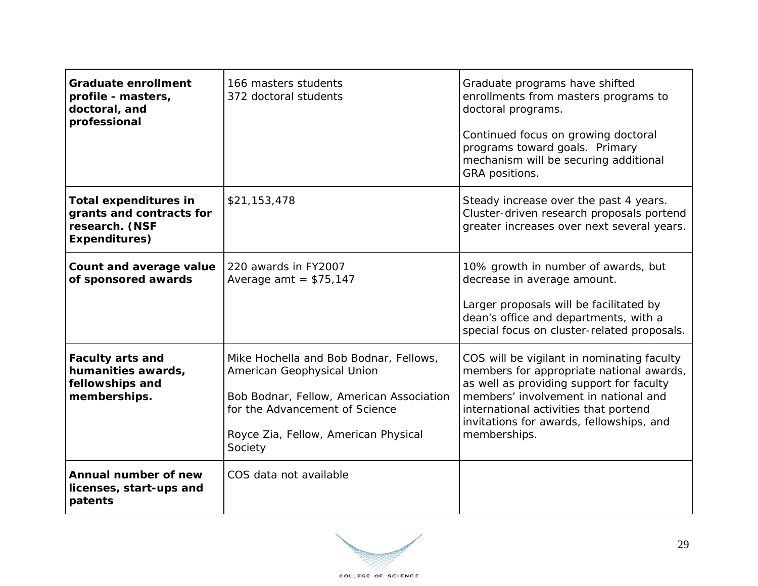| <b>Graduate enrollment</b><br>profile - masters,<br>doctoral, and<br>professional           | 166 masters students<br>372 doctoral students                                                                                                                                                         | Graduate programs have shifted<br>enrollments from masters programs to<br>doctoral programs.<br>Continued focus on growing doctoral<br>programs toward goals. Primary<br>mechanism will be securing additional<br>GRA positions.                                                |
|---------------------------------------------------------------------------------------------|-------------------------------------------------------------------------------------------------------------------------------------------------------------------------------------------------------|---------------------------------------------------------------------------------------------------------------------------------------------------------------------------------------------------------------------------------------------------------------------------------|
| <b>Total expenditures in</b><br>grants and contracts for<br>research. (NSF<br>Expenditures) | \$21,153,478                                                                                                                                                                                          | Steady increase over the past 4 years.<br>Cluster-driven research proposals portend<br>greater increases over next several years.                                                                                                                                               |
| Count and average value<br>of sponsored awards                                              | 220 awards in FY2007<br>Average amt = $$75,147$                                                                                                                                                       | 10% growth in number of awards, but<br>decrease in average amount.<br>Larger proposals will be facilitated by<br>dean's office and departments, with a<br>special focus on cluster-related proposals.                                                                           |
| <b>Faculty arts and</b><br>humanities awards,<br>fellowships and<br>memberships.            | Mike Hochella and Bob Bodnar, Fellows,<br>American Geophysical Union<br>Bob Bodnar, Fellow, American Association<br>for the Advancement of Science<br>Royce Zia, Fellow, American Physical<br>Society | COS will be vigilant in nominating faculty<br>members for appropriate national awards,<br>as well as providing support for faculty<br>members' involvement in national and<br>international activities that portend<br>invitations for awards, fellowships, and<br>memberships. |
| Annual number of new<br>licenses, start-ups and<br>patents                                  | COS data not available                                                                                                                                                                                |                                                                                                                                                                                                                                                                                 |

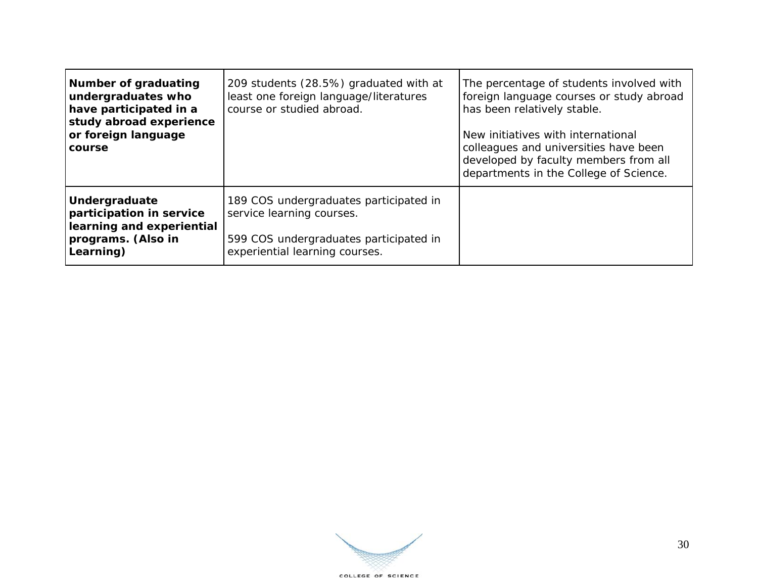| Number of graduating<br>undergraduates who<br>have participated in a<br>study abroad experience<br>or foreign language<br>course | 209 students (28.5%) graduated with at<br>least one foreign language/literatures<br>course or studied abroad.                                   | The percentage of students involved with<br>foreign language courses or study abroad<br>has been relatively stable.<br>New initiatives with international<br>colleagues and universities have been<br>developed by faculty members from all<br>departments in the College of Science. |
|----------------------------------------------------------------------------------------------------------------------------------|-------------------------------------------------------------------------------------------------------------------------------------------------|---------------------------------------------------------------------------------------------------------------------------------------------------------------------------------------------------------------------------------------------------------------------------------------|
| Undergraduate<br>participation in service<br>learning and experiential<br>programs. (Also in<br>Learning)                        | 189 COS undergraduates participated in<br>service learning courses.<br>599 COS undergraduates participated in<br>experiential learning courses. |                                                                                                                                                                                                                                                                                       |